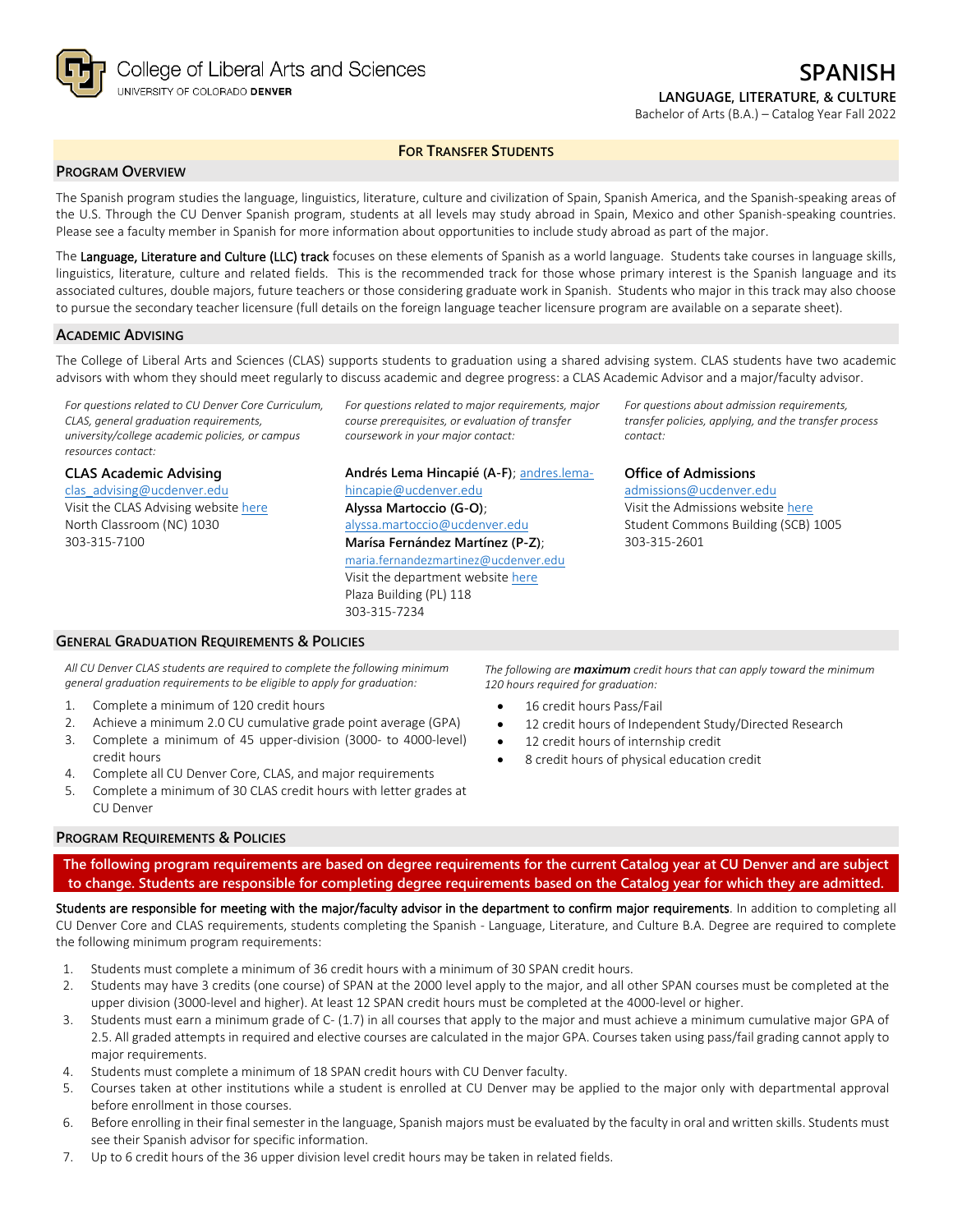

#### Bachelor of Arts (B.A.) – Catalog Year Fall 2022

#### **FOR TRANSFER STUDENTS**

### **PROGRAM OVERVIEW**

The Spanish program studies the language, linguistics, literature, culture and civilization of Spain, Spanish America, and the Spanish-speaking areas of the U.S. Through the CU Denver Spanish program, students at all levels may study abroad in Spain, Mexico and other Spanish-speaking countries. Please see a faculty member in Spanish for more information about opportunities to include study abroad as part of the major.

The Language, Literature and Culture (LLC) track focuses on these elements of Spanish as a world language. Students take courses in language skills, linguistics, literature, culture and related fields. This is the recommended track for those whose primary interest is the Spanish language and its associated cultures, double majors, future teachers or those considering graduate work in Spanish. Students who major in this track may also choose to pursue the secondary teacher licensure (full details on the foreign language teacher licensure program are available on a separate sheet).

#### **ACADEMIC ADVISING**

The College of Liberal Arts and Sciences (CLAS) supports students to graduation using a shared advising system. CLAS students have two academic advisors with whom they should meet regularly to discuss academic and degree progress: a CLAS Academic Advisor and a major/faculty advisor.

*For questions related to CU Denver Core Curriculum, CLAS, general graduation requirements, university/college academic policies, or campus resources contact:*

# **CLAS Academic Advising**

[clas\\_advising@ucdenver.edu](mailto:clas_advising@ucdenver.edu) Visit the CLAS Advising websit[e here](https://clas.ucdenver.edu/advising/) North Classroom (NC) 1030 303-315-7100

*For questions related to major requirements, major course prerequisites, or evaluation of transfer coursework in your major contact:*

**Andrés Lema Hincapié (A-F)**; [andres.lema](mailto:andres.lema-hincapie@ucdenver.edu)[hincapie@ucdenver.edu](mailto:andres.lema-hincapie@ucdenver.edu) **Alyssa Martoccio (G-O)**; [alyssa.martoccio@ucdenver.edu](mailto:alyssa.martoccio@ucdenver.edu) **Marísa Fernández Martínez (P-Z)**; [maria.fernandezmartinez@ucdenver.ed](mailto:maria.fernandezmartinez@ucdenver.edu)[u](mailto:maria.fernandezmartinez@ucdenver.edu) Visit the department website [here](https://clas.ucdenver.edu/modLang/) Plaza Building (PL) 118

303-315-7234

*For questions about admission requirements, transfer policies, applying, and the transfer process contact:*

### **Office of Admissions**

[admissions@ucdenver.edu](mailto:admissions@ucdenver.edu) Visit the Admissions website [here](http://www.ucdenver.edu/admissions/Pages/index.aspx) Student Commons Building (SCB) 1005 303-315-2601

**GENERAL GRADUATION REQUIREMENTS & POLICIES**

*All CU Denver CLAS students are required to complete the following minimum general graduation requirements to be eligible to apply for graduation:*

- 1. Complete a minimum of 120 credit hours
- 2. Achieve a minimum 2.0 CU cumulative grade point average (GPA)
- 3. Complete a minimum of 45 upper-division (3000- to 4000-level) credit hours
- 4. Complete all CU Denver Core, CLAS, and major requirements
- 5. Complete a minimum of 30 CLAS credit hours with letter grades at CU Denver

*The following are maximum credit hours that can apply toward the minimum 120 hours required for graduation:*

- 16 credit hours Pass/Fail
- 12 credit hours of Independent Study/Directed Research
- 12 credit hours of internship credit
- 8 credit hours of physical education credit

#### **PROGRAM REQUIREMENTS & POLICIES**

**The following program requirements are based on degree requirements for the current Catalog year at CU Denver and are subject to change. Students are responsible for completing degree requirements based on the Catalog year for which they are admitted.**

Students are responsible for meeting with the major/faculty advisor in the department to confirm major requirements. In addition to completing all CU Denver Core and CLAS requirements, students completing the Spanish - Language, Literature, and Culture B.A. Degree are required to complete the following minimum program requirements:

- 1. Students must complete a minimum of 36 credit hours with a minimum of 30 SPAN credit hours.
- 2. Students may have 3 credits (one course) of SPAN at the 2000 level apply to the major, and all other SPAN courses must be completed at the upper division (3000-level and higher). At least 12 SPAN credit hours must be completed at the 4000-level or higher.
- 3. Students must earn a minimum grade of C- (1.7) in all courses that apply to the major and must achieve a minimum cumulative major GPA of 2.5. All graded attempts in required and elective courses are calculated in the major GPA. Courses taken using pass/fail grading cannot apply to major requirements.
- 4. Students must complete a minimum of 18 SPAN credit hours with CU Denver faculty.
- 5. Courses taken at other institutions while a student is enrolled at CU Denver may be applied to the major only with departmental approval before enrollment in those courses.
- 6. Before enrolling in their final semester in the language, Spanish majors must be evaluated by the faculty in oral and written skills. Students must see their Spanish advisor for specific information.
- 7. Up to 6 credit hours of the 36 upper division level credit hours may be taken in related fields.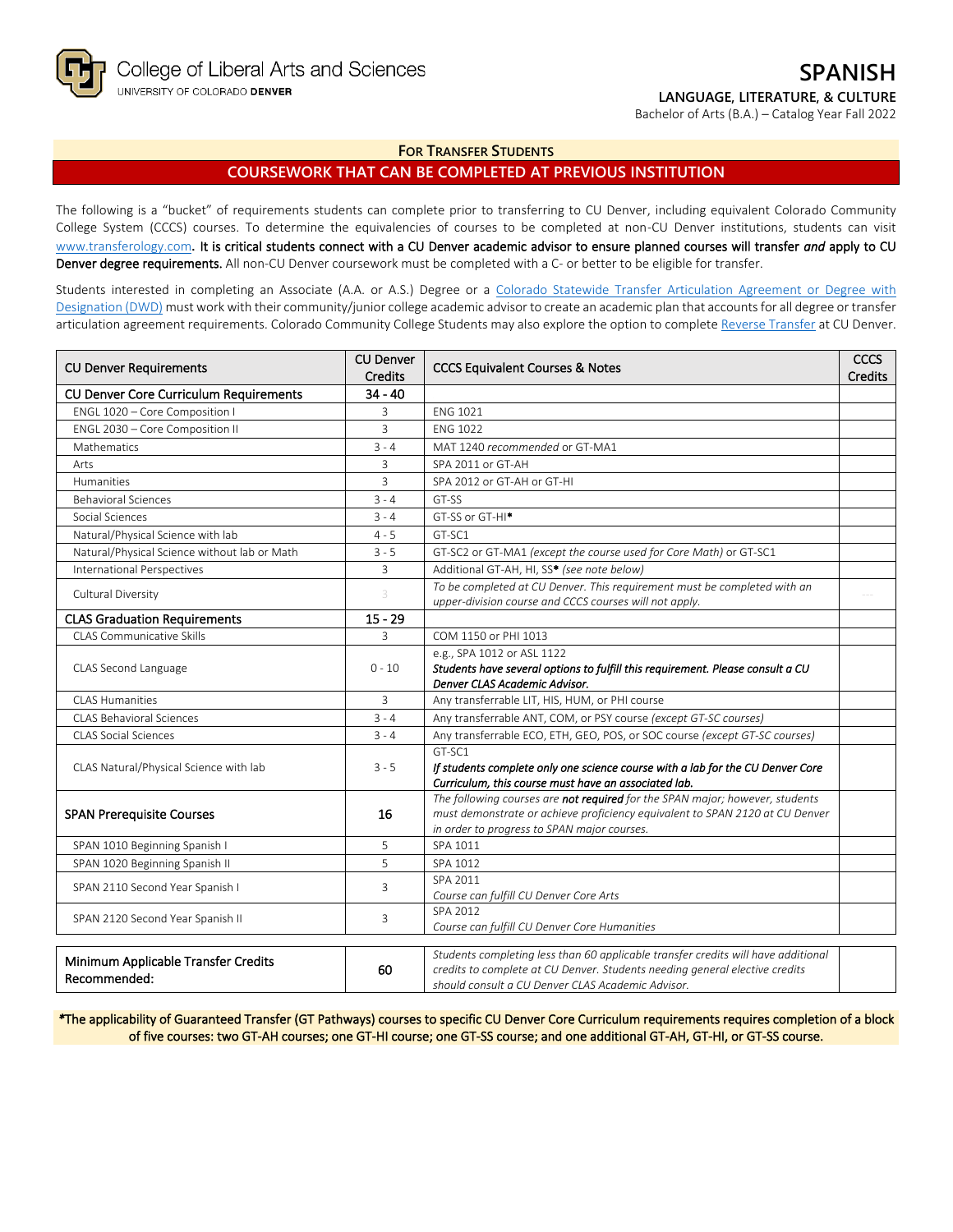

Bachelor of Arts (B.A.) – Catalog Year Fall 2022

### **FOR TRANSFER STUDENTS**

# **COURSEWORK THAT CAN BE COMPLETED AT PREVIOUS INSTITUTION**

The following is a "bucket" of requirements students can complete prior to transferring to CU Denver, including equivalent Colorado Community College System (CCCS) courses. To determine the equivalencies of courses to be completed at non-CU Denver institutions, students can visit [www.transferology.com](http://www.transferology.com/)**.** It is critical students connect with a CU Denver academic advisor to ensure planned courses will transfer *and* apply to CU Denver degree requirements. All non-CU Denver coursework must be completed with a C- or better to be eligible for transfer.

Students interested in completing an Associate (A.A. or A.S.) Degree or a Colorado Statewide Transfer Articulation Agreement or Degree with [Designation \(DWD\)](https://highered.colorado.gov/transfer-degrees) must work with their community/junior college academic advisor to create an academic plan that accounts for all degree or transfer articulation agreement requirements. Colorado Community College Students may also explore the option to complet[e Reverse Transfer](https://highered.colorado.gov/students/attending-college/colorado-reverse-transfer) at CU Denver.

| <b>CU Denver Requirements</b>                 | <b>CU Denver</b><br><b>Credits</b> | <b>CCCS Equivalent Courses &amp; Notes</b>                                                                                                                       | <b>CCCS</b><br><b>Credits</b> |
|-----------------------------------------------|------------------------------------|------------------------------------------------------------------------------------------------------------------------------------------------------------------|-------------------------------|
| <b>CU Denver Core Curriculum Requirements</b> | $34 - 40$                          |                                                                                                                                                                  |                               |
| ENGL 1020 - Core Composition I                | 3                                  | <b>ENG 1021</b>                                                                                                                                                  |                               |
| ENGL 2030 - Core Composition II               | 3                                  | <b>ENG 1022</b>                                                                                                                                                  |                               |
| Mathematics                                   | $3 - 4$                            | MAT 1240 recommended or GT-MA1                                                                                                                                   |                               |
| Arts                                          | 3                                  | SPA 2011 or GT-AH                                                                                                                                                |                               |
| <b>Humanities</b>                             | 3                                  | SPA 2012 or GT-AH or GT-HI                                                                                                                                       |                               |
| <b>Behavioral Sciences</b>                    | $3 - 4$                            | GT-SS                                                                                                                                                            |                               |
| Social Sciences                               | $3 - 4$                            | GT-SS or GT-HI <sup>*</sup>                                                                                                                                      |                               |
| Natural/Physical Science with lab             | $4 - 5$                            | GT-SC1                                                                                                                                                           |                               |
| Natural/Physical Science without lab or Math  | $3 - 5$                            | GT-SC2 or GT-MA1 (except the course used for Core Math) or GT-SC1                                                                                                |                               |
| <b>International Perspectives</b>             | $\overline{3}$                     | Additional GT-AH, HI, SS* (see note below)                                                                                                                       |                               |
| Cultural Diversity                            | 3                                  | To be completed at CU Denver. This requirement must be completed with an                                                                                         |                               |
|                                               |                                    | upper-division course and CCCS courses will not apply.                                                                                                           |                               |
| <b>CLAS Graduation Requirements</b>           | $15 - 29$                          |                                                                                                                                                                  |                               |
| CLAS Communicative Skills                     | 3                                  | COM 1150 or PHI 1013                                                                                                                                             |                               |
|                                               |                                    | e.g., SPA 1012 or ASL 1122                                                                                                                                       |                               |
| CLAS Second Language                          | $0 - 10$                           | Students have several options to fulfill this requirement. Please consult a CU<br>Denver CLAS Academic Advisor.                                                  |                               |
| <b>CLAS Humanities</b>                        | $\overline{3}$                     | Any transferrable LIT, HIS, HUM, or PHI course                                                                                                                   |                               |
| <b>CLAS Behavioral Sciences</b>               | $3 - 4$                            | Any transferrable ANT, COM, or PSY course (except GT-SC courses)                                                                                                 |                               |
| <b>CLAS Social Sciences</b>                   | $3 - 4$                            | Any transferrable ECO, ETH, GEO, POS, or SOC course (except GT-SC courses)                                                                                       |                               |
|                                               |                                    | GT-SC1                                                                                                                                                           |                               |
| CLAS Natural/Physical Science with lab        | $3 - 5$                            | If students complete only one science course with a lab for the CU Denver Core                                                                                   |                               |
|                                               |                                    | Curriculum, this course must have an associated lab.                                                                                                             |                               |
|                                               |                                    | The following courses are not required for the SPAN major; however, students                                                                                     |                               |
| <b>SPAN Prerequisite Courses</b>              | 16                                 | must demonstrate or achieve proficiency equivalent to SPAN 2120 at CU Denver                                                                                     |                               |
|                                               |                                    | in order to progress to SPAN major courses.                                                                                                                      |                               |
| SPAN 1010 Beginning Spanish I                 | 5<br>5                             | SPA 1011                                                                                                                                                         |                               |
| SPAN 1020 Beginning Spanish II                |                                    | SPA 1012<br>SPA 2011                                                                                                                                             |                               |
| SPAN 2110 Second Year Spanish I               | 3                                  | Course can fulfill CU Denver Core Arts                                                                                                                           |                               |
|                                               |                                    | SPA 2012                                                                                                                                                         |                               |
| SPAN 2120 Second Year Spanish II              | 3                                  | Course can fulfill CU Denver Core Humanities                                                                                                                     |                               |
|                                               |                                    |                                                                                                                                                                  |                               |
| Minimum Applicable Transfer Credits           | 60                                 | Students completing less than 60 applicable transfer credits will have additional<br>credits to complete at CU Denver. Students needing general elective credits |                               |
| Recommended:                                  |                                    | should consult a CU Denver CLAS Academic Advisor.                                                                                                                |                               |

*\**The applicability of Guaranteed Transfer (GT Pathways) courses to specific CU Denver Core Curriculum requirements requires completion of a block of five courses: two GT-AH courses; one GT-HI course; one GT-SS course; and one additional GT-AH, GT-HI, or GT-SS course.